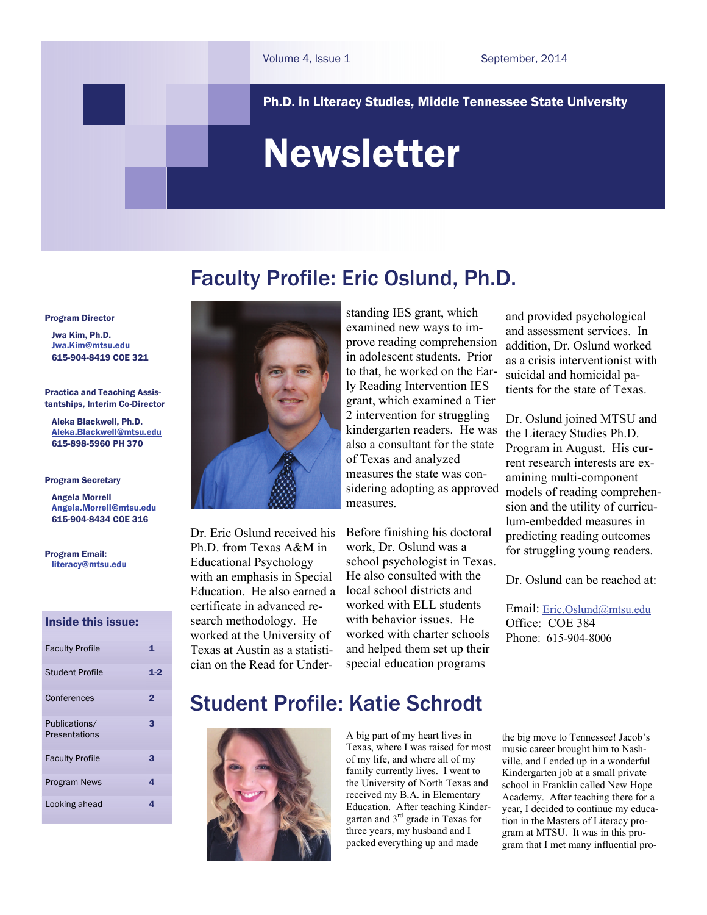Ph.D. in Literacy Studies, Middle Tennessee State University

# Newsletter

### Faculty Profile: Eric Oslund, Ph.D.

Program Director

 Jwa Kim, Ph.D. [Jwa.Kim@mtsu.edu](mailto:jwa.kim@mtsu.edu) 615-904-8419 COE 321

Practica and Teaching Assistantships, Interim Co-Director

 Aleka Blackwell, Ph.D. [Aleka.Blackwell@mtsu.edu](mailto:%20aleka.blackwell@mtsu.edu)  615-898-5960 PH 370

#### Program Secretary

 Angela Morrell [Angela.Morrell@mtsu.edu](mailto:angela.morrell@mtsu.edu) 615-904-8434 COE 316

Program Email: [literacy@mtsu.edu](mailto:literacy@mtsu.edu)

#### Inside this issue:

| <b>Faculty Profile</b>         | 1     |
|--------------------------------|-------|
| <b>Student Profile</b>         | $1-2$ |
| Conferences                    | 2     |
| Publications/<br>Presentations | 3     |
| <b>Faculty Profile</b>         | З     |
| <b>Program News</b>            | 4     |
| Looking ahead                  | 4     |



Dr. Eric Oslund received his Ph.D. from Texas A&M in Educational Psychology with an emphasis in Special Education. He also earned a certificate in advanced research methodology. He worked at the University of Texas at Austin as a statistician on the Read for Understanding IES grant, which examined new ways to improve reading comprehension in adolescent students. Prior to that, he worked on the Early Reading Intervention IES grant, which examined a Tier 2 intervention for struggling kindergarten readers. He was also a consultant for the state of Texas and analyzed measures the state was considering adopting as approved measures.

Before finishing his doctoral work, Dr. Oslund was a school psychologist in Texas. He also consulted with the local school districts and worked with ELL students with behavior issues. He worked with charter schools and helped them set up their special education programs

and provided psychological and assessment services. In addition, Dr. Oslund worked as a crisis interventionist with suicidal and homicidal patients for the state of Texas.

Dr. Oslund joined MTSU and the Literacy Studies Ph.D. Program in August. His current research interests are examining multi-component models of reading comprehension and the utility of curriculum-embedded measures in predicting reading outcomes for struggling young readers.

Dr. Oslund can be reached at:

Email: [Eric.Oslund@mtsu.edu](mailto:eric.oslund@mtsu.edu) Office: COE 384 Phone: 615-904-8006

### Student Profile: Katie Schrodt



A big part of my heart lives in Texas, where I was raised for most of my life, and where all of my family currently lives. I went to the University of North Texas and received my B.A. in Elementary Education. After teaching Kindergarten and 3rd grade in Texas for three years, my husband and I packed everything up and made

the big move to Tennessee! Jacob's music career brought him to Nashville, and I ended up in a wonderful Kindergarten job at a small private school in Franklin called New Hope Academy. After teaching there for a year, I decided to continue my education in the Masters of Literacy program at MTSU. It was in this program that I met many influential pro-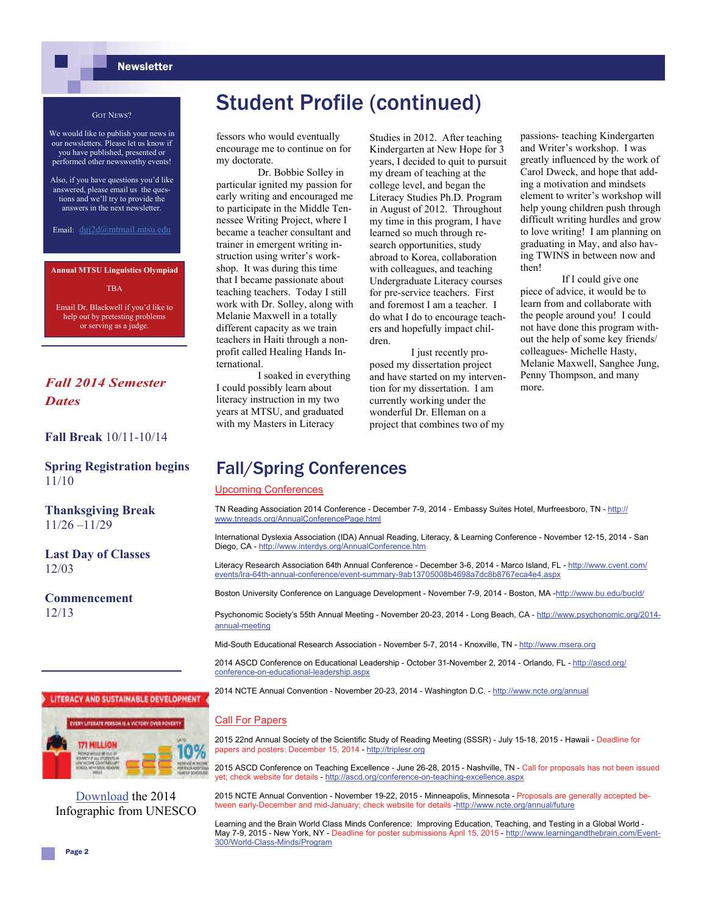#### **Newsletter**

#### GOT NEWS?

We would like to publish your news in our newsletters. Please let us know if you have published, presented or performed other newsworthy events!

Also, if you have questions you'd like answered, please email us the questions and we'll try to provide the answers in the next newsletter.

Email: dgj2d@mtmail.mtsu.edu

**Annual MTSU Linguistics Olympiad** 

**TRA** 

Email Dr. Blackwell if you'd like to help out by pretesting problems or serving as a judge.

### *Fall 2014 Semester Dates*

#### **Fall Break** 10/11-10/14

**Spring Registration begins**  11/10

**Thanksgiving Break** 11/26 –11/29

**Last Day of Classes** 12/03

**Commencement**  12/13

## Student Profile (continued)

fessors who would eventually encourage me to continue on for my doctorate.

Dr. Bobbie Solley in particular ignited my passion for early writing and encouraged me to participate in the Middle Tennessee Writing Project, where I became a teacher consultant and trainer in emergent writing instruction using writer's workshop. It was during this time that I became passionate about teaching teachers. Today I still work with Dr. Solley, along with Melanie Maxwell in a totally different capacity as we train teachers in Haiti through a nonprofit called Healing Hands International.

 I soaked in everything I could possibly learn about literacy instruction in my two years at MTSU, and graduated with my Masters in Literacy

Studies in 2012. After teaching Kindergarten at New Hope for 3 years, I decided to quit to pursuit my dream of teaching at the college level, and began the Literacy Studies Ph.D. Program in August of 2012. Throughout my time in this program, I have learned so much through research opportunities, study abroad to Korea, collaboration with colleagues, and teaching Undergraduate Literacy courses for pre-service teachers. First and foremost I am a teacher. I do what I do to encourage teachers and hopefully impact children.

 I just recently proposed my dissertation project and have started on my intervention for my dissertation. I am currently working under the wonderful Dr. Elleman on a project that combines two of my

passions- teaching Kindergarten and Writer's workshop. I was greatly influenced by the work of Carol Dweck, and hope that adding a motivation and mindsets element to writer's workshop will help young children push through difficult writing hurdles and grow to love writing! I am planning on graduating in May, and also having TWINS in between now and then!

 If I could give one piece of advice, it would be to learn from and collaborate with the people around you! I could not have done this program without the help of some key friends/ colleagues- Michelle Hasty, Melanie Maxwell, Sanghee Jung, Penny Thompson, and many more.

### Fall/Spring Conferences

#### Upcoming Conferences

TN Reading Association 2014 Conference - December 7-9, 2014 - Embassy Suites Hotel, Murfreesboro, TN - [http://](http://www.tnreads.org/AnnualConferencePage.html) [www.tnreads.org/AnnualConferencePage.html](http://www.tnreads.org/AnnualConferencePage.html)

International Dyslexia Association (IDA) Annual Reading, Literacy, & Learning Conference - November 12-15, 2014 - San Diego, CA -<http://www.interdys.org/AnnualConference.htm>

Literacy Research Association 64th Annual Conference - December 3-6, 2014 - Marco Island, FL - [http://www.cvent.com/](http://www.cvent.com/events/lra-64th-annual-conference/event-summary-9ab13705008b4698a7dc8b8767eca4e4.aspx) [events/lra-64th-annual-conference/event-summary-9ab13705008b4698a7dc8b8767eca4e4.aspx](http://www.cvent.com/events/lra-64th-annual-conference/event-summary-9ab13705008b4698a7dc8b8767eca4e4.aspx)

Boston University Conference on Language Development - November 7-9, 2014 - Boston, MA -<http://www.bu.edu/bucld/>

Psychonomic Society's 55th Annual Meeting - November 20-23, 2014 - Long Beach, CA - [http://www.psychonomic.org/2014](http://www.psychonomic.org/2014-annual-meeting) [annual-meeting](http://www.psychonomic.org/2014-annual-meeting)

Mid-South Educational Research Association - November 5-7, 2014 - Knoxville, TN -<http://www.msera.org>

2014 ASCD Conference on Educational Leadership - October 31-November 2, 2014 - Orlando, FL - [http://ascd.org/](http://ascd.org/conference-on-educational-leadership.aspx) [conference-on-educational-leadership.aspx](http://ascd.org/conference-on-educational-leadership.aspx)

2014 NCTE Annual Convention - November 20-23, 2014 - Washington D.C. - <http://www.ncte.org/annual>

#### Call For Papers

2015 22nd Annual Society of the Scientific Study of Reading Meeting (SSSR) - July 15-18, 2015 - Hawaii - Deadline for papers and posters: December 15, 2014 - <http://triplesr.org>

2015 ASCD Conference on Teaching Excellence - June 26-28, 2015 - Nashville, TN - Call for proposals has not been issued yet; check website for details - <http://ascd.org/conference-on-teaching-excellence.aspx>

2015 NCTE Annual Convention - November 19-22, 2015 - Minneapolis, Minnesota - Proposals are generally accepted between early-December and mid-January; check website for details [-http://www.ncte.org/annual/future](http://www.ncte.org/annual/future)

Learning and the Brain World Class Minds Conference: Improving Education, Teaching, and Testing in a Global World - May 7-9, 2015 - New York, NY - Deadline for poster submissions April 15, 2015 - [http://www.learningandthebrain.com/Event-](http://www.learningandthebrain.com/Event-300/World-Class-Minds/Program)[300/World-Class-Minds/Program](http://www.learningandthebrain.com/Event-300/World-Class-Minds/Program)



LITERACY AND SUSTAINABLE DEVELOPMENT

[Download](http://www.unesco.org/education/ild2014/infographic2014-final.pdf) the 2014 Infographic from UNESCO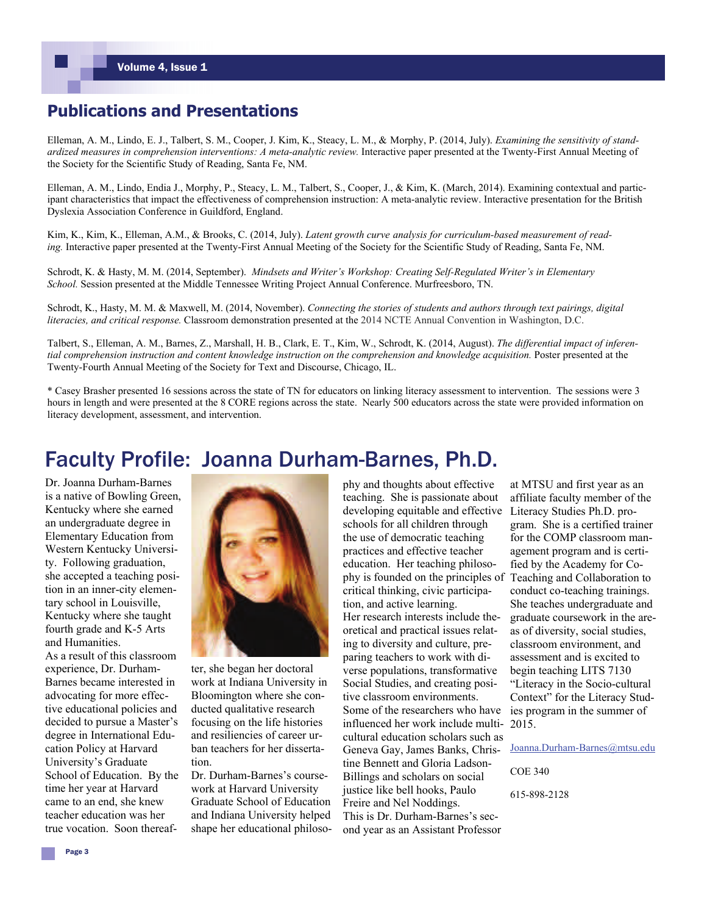### **Publications and Presentations**

Elleman, A. M., Lindo, E. J., Talbert, S. M., Cooper, J. Kim, K., Steacy, L. M., & Morphy, P. (2014, July). *Examining the sensitivity of standardized measures in comprehension interventions: A meta-analytic review.* Interactive paper presented at the Twenty-First Annual Meeting of the Society for the Scientific Study of Reading, Santa Fe, NM.

Elleman, A. M., Lindo, Endia J., Morphy, P., Steacy, L. M., Talbert, S., Cooper, J., & Kim, K. (March, 2014). Examining contextual and participant characteristics that impact the effectiveness of comprehension instruction: A meta-analytic review. Interactive presentation for the British Dyslexia Association Conference in Guildford, England.

Kim, K., Kim, K., Elleman, A.M., & Brooks, C. (2014, July). *Latent growth curve analysis for curriculum-based measurement of reading.* Interactive paper presented at the Twenty-First Annual Meeting of the Society for the Scientific Study of Reading, Santa Fe, NM.

Schrodt, K. & Hasty, M. M. (2014, September). *Mindsets and Writer's Workshop: Creating Self-Regulated Writer's in Elementary School.* Session presented at the Middle Tennessee Writing Project Annual Conference. Murfreesboro, TN.

Schrodt, K., Hasty, M. M. & Maxwell, M. (2014, November). *Connecting the stories of students and authors through text pairings, digital literacies, and critical response.* Classroom demonstration presented at the 2014 NCTE Annual Convention in Washington, D.C.

Talbert, S., Elleman, A. M., Barnes, Z., Marshall, H. B., Clark, E. T., Kim, W., Schrodt, K. (2014, August). *The differential impact of inferen*tial comprehension instruction and content knowledge instruction on the comprehension and knowledge acquisition. Poster presented at the Twenty-Fourth Annual Meeting of the Society for Text and Discourse, Chicago, IL.

\* Casey Brasher presented 16 sessions across the state of TN for educators on linking literacy assessment to intervention. The sessions were 3 hours in length and were presented at the 8 CORE regions across the state. Nearly 500 educators across the state were provided information on literacy development, assessment, and intervention.

### Faculty Profile: Joanna Durham-Barnes, Ph.D.

Dr. Joanna Durham-Barnes is a native of Bowling Green, Kentucky where she earned an undergraduate degree in Elementary Education from Western Kentucky University. Following graduation, she accepted a teaching position in an inner-city elementary school in Louisville, Kentucky where she taught fourth grade and K-5 Arts and Humanities.

As a result of this classroom experience, Dr. Durham-Barnes became interested in advocating for more effective educational policies and decided to pursue a Master's degree in International Education Policy at Harvard University's Graduate School of Education. By the time her year at Harvard came to an end, she knew teacher education was her true vocation. Soon thereaf-



ter, she began her doctoral work at Indiana University in Bloomington where she conducted qualitative research focusing on the life histories and resiliencies of career urban teachers for her dissertation.

Dr. Durham-Barnes's coursework at Harvard University Graduate School of Education and Indiana University helped shape her educational philosophy and thoughts about effective teaching. She is passionate about developing equitable and effective schools for all children through the use of democratic teaching practices and effective teacher education. Her teaching philosophy is founded on the principles of critical thinking, civic participation, and active learning. Her research interests include theoretical and practical issues relating to diversity and culture, preparing teachers to work with diverse populations, transformative Social Studies, and creating positive classroom environments. Some of the researchers who have influenced her work include multicultural education scholars such as Geneva Gay, James Banks, Christine Bennett and Gloria Ladson-Billings and scholars on social justice like bell hooks, Paulo Freire and Nel Noddings. This is Dr. Durham-Barnes's second year as an Assistant Professor

at MTSU and first year as an affiliate faculty member of the Literacy Studies Ph.D. program. She is a certified trainer for the COMP classroom management program and is certified by the Academy for Co-Teaching and Collaboration to conduct co-teaching trainings. She teaches undergraduate and graduate coursework in the areas of diversity, social studies, classroom environment, and assessment and is excited to begin teaching LITS 7130 "Literacy in the Socio-cultural Context" for the Literacy Studies program in the summer of 2015.

[Joanna.Durham-Barnes@mtsu.edu](mailto:joanna.durham-barnes@mtsu.edu)

COE 340

615-898-2128